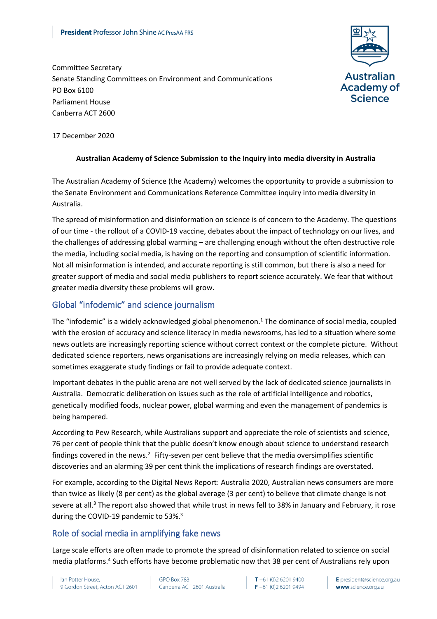

Committee Secretary Senate Standing Committees on Environment and Communications PO Box 6100 Parliament House Canberra ACT 2600

17 December 2020

#### **Australian Academy of Science Submission to the Inquiry into media diversity in Australia**

The Australian Academy of Science (the Academy) welcomes the opportunity to provide a submission to the Senate Environment and Communications Reference Committee inquiry into media diversity in Australia.

The spread of misinformation and disinformation on science is of concern to the Academy. The questions of our time - the rollout of a COVID-19 vaccine, debates about the impact of technology on our lives, and the challenges of addressing global warming – are challenging enough without the often destructive role the media, including social media, is having on the reporting and consumption of scientific information. Not all misinformation is intended, and accurate reporting is still common, but there is also a need for greater support of media and social media publishers to report science accurately. We fear that without greater media diversity these problems will grow.

## Global "infodemic" and science journalism

The "infodemic" is a widely acknowledged global phenomenon.<sup>1</sup> The dominance of social media, coupled with the erosion of accuracy and science literacy in media newsrooms, has led to a situation where some news outlets are increasingly reporting science without correct context or the complete picture. Without dedicated science reporters, news organisations are increasingly relying on media releases, which can sometimes exaggerate study findings or fail to provide adequate context.

Important debates in the public arena are not well served by the lack of dedicated science journalists in Australia. Democratic deliberation on issues such as the role of artificial intelligence and robotics, genetically modified foods, nuclear power, global warming and even the management of pandemics is being hampered.

According to Pew Research, while Australians support and appreciate the role of scientists and science, 76 per cent of people think that the public doesn't know enough about science to understand research findings covered in the news.<sup>2</sup> Fifty-seven per cent believe that the media oversimplifies scientific discoveries and an alarming 39 per cent think the implications of research findings are overstated.

For example, according to the Digital News Report: Australia 2020, Australian news consumers are more than twice as likely (8 per cent) as the global average (3 per cent) to believe that climate change is not severe at all.<sup>3</sup> The report also showed that while trust in news fell to 38% in January and February, it rose during the COVID-19 pandemic to 53%.<sup>3</sup>

# Role of social media in amplifying fake news

Large scale efforts are often made to promote the spread of disinformation related to science on social media platforms. <sup>4</sup> Such efforts have become problematic now that 38 per cent of Australians rely upon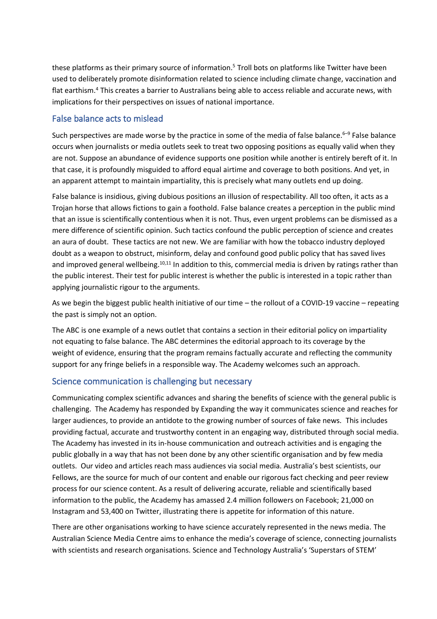these platforms as their primary source of information. <sup>5</sup> Troll bots on platforms like Twitter have been used to deliberately promote disinformation related to science including climate change, vaccination and flat earthism.<sup>4</sup> This creates a barrier to Australians being able to access reliable and accurate news, with implications for their perspectives on issues of national importance.

### False balance acts to mislead

Such perspectives are made worse by the practice in some of the media of false balance.<sup>6-9</sup> False balance occurs when journalists or media outlets seek to treat two opposing positions as equally valid when they are not. Suppose an abundance of evidence supports one position while another is entirely bereft of it. In that case, it is profoundly misguided to afford equal airtime and coverage to both positions. And yet, in an apparent attempt to maintain impartiality, this is precisely what many outlets end up doing.

False balance is insidious, giving dubious positions an illusion of respectability. All too often, it acts as a Trojan horse that allows fictions to gain a foothold. False balance creates a perception in the public mind that an issue is scientifically contentious when it is not. Thus, even urgent problems can be dismissed as a mere difference of scientific opinion. Such tactics confound the public perception of science and creates an aura of doubt. These tactics are not new. We are familiar with how the tobacco industry deployed doubt as a weapon to obstruct, misinform, delay and confound good public policy that has saved lives and improved general wellbeing.<sup>10,11</sup> In addition to this, commercial media is driven by ratings rather than the public interest. Their test for public interest is whether the public is interested in a topic rather than applying journalistic rigour to the arguments.

As we begin the biggest public health initiative of our time – the rollout of a COVID-19 vaccine – repeating the past is simply not an option.

The ABC is one example of a news outlet that contains a section in their editorial policy on impartiality not equating to false balance. The ABC determines the editorial approach to its coverage by the weight of evidence, ensuring that the program remains factually accurate and reflecting the community support for any fringe beliefs in a responsible way. The Academy welcomes such an approach.

#### Science communication is challenging but necessary

Communicating complex scientific advances and sharing the benefits of science with the general public is challenging. The Academy has responded by Expanding the way it communicates science and reaches for larger audiences, to provide an antidote to the growing number of sources of fake news. This includes providing factual, accurate and trustworthy content in an engaging way, distributed through social media. The Academy has invested in its in-house communication and outreach activities and is engaging the public globally in a way that has not been done by any other scientific organisation and by few media outlets. Our video and articles reach mass audiences via social media. Australia's best scientists, our Fellows, are the source for much of our content and enable our rigorous fact checking and peer review process for our science content. As a result of delivering accurate, reliable and scientifically based information to the public, the Academy has amassed 2.4 million followers on Facebook; 21,000 on Instagram and 53,400 on Twitter, illustrating there is appetite for information of this nature.

There are other organisations working to have science accurately represented in the news media. The Australian Science Media Centre aims to enhance the media's coverage of science, connecting journalists with scientists and research organisations. Science and Technology Australia's 'Superstars of STEM'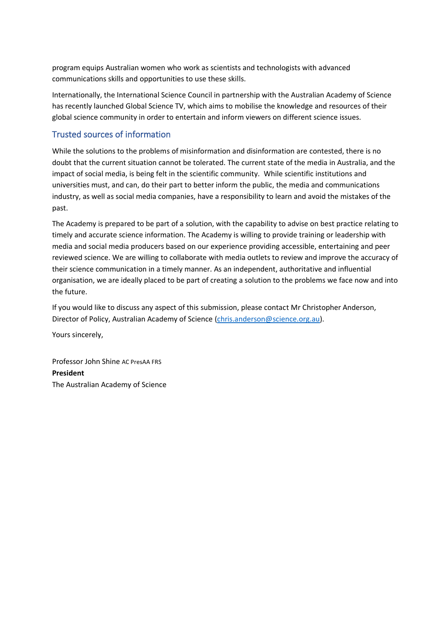program equips Australian women who work as scientists and technologists with advanced communications skills and opportunities to use these skills.

Internationally, the International Science Council in partnership with the Australian Academy of Science has recently launched Global Science TV, which aims to mobilise the knowledge and resources of their global science community in order to entertain and inform viewers on different science issues.

## Trusted sources of information

While the solutions to the problems of misinformation and disinformation are contested, there is no doubt that the current situation cannot be tolerated. The current state of the media in Australia, and the impact of social media, is being felt in the scientific community. While scientific institutions and universities must, and can, do their part to better inform the public, the media and communications industry, as well as social media companies, have a responsibility to learn and avoid the mistakes of the past.

The Academy is prepared to be part of a solution, with the capability to advise on best practice relating to timely and accurate science information. The Academy is willing to provide training or leadership with media and social media producers based on our experience providing accessible, entertaining and peer reviewed science. We are willing to collaborate with media outlets to review and improve the accuracy of their science communication in a timely manner. As an independent, authoritative and influential organisation, we are ideally placed to be part of creating a solution to the problems we face now and into the future.

If you would like to discuss any aspect of this submission, please contact Mr Christopher Anderson, Director of Policy, Australian Academy of Science [\(chris.anderson@science.org.au\)](mailto:chris.anderson@science.org.au).

Yours sincerely,

Professor John Shine AC PresAA FRS **President** The Australian Academy of Science